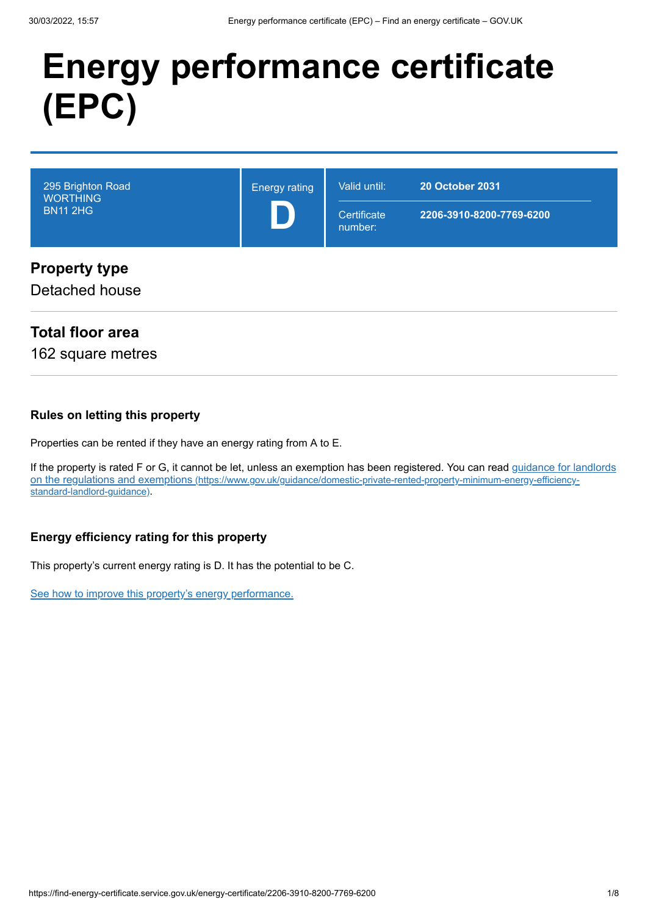# **Energy performance certificate (EPC)**

| 295 Brighton Road<br><b>WORTHING</b><br><b>BN11 2HG</b> | <b>Energy rating</b> | Valid until:<br>Certificate<br>number: | <b>20 October 2031</b><br>2206-3910-8200-7769-6200 |
|---------------------------------------------------------|----------------------|----------------------------------------|----------------------------------------------------|
| <b>Property type</b><br>Detached house                  |                      |                                        |                                                    |

## **Total floor area**

162 square metres

#### **Rules on letting this property**

Properties can be rented if they have an energy rating from A to E.

[If the property is rated F or G, it cannot be let, unless an exemption has been registered. You can read guidance for landlords](https://www.gov.uk/guidance/domestic-private-rented-property-minimum-energy-efficiency-standard-landlord-guidance) on the regulations and exemptions (https://www.gov.uk/guidance/domestic-private-rented-property-minimum-energy-efficiencystandard-landlord-guidance).

#### **Energy efficiency rating for this property**

This property's current energy rating is D. It has the potential to be C.

[See how to improve this property's energy performance.](#page-4-0)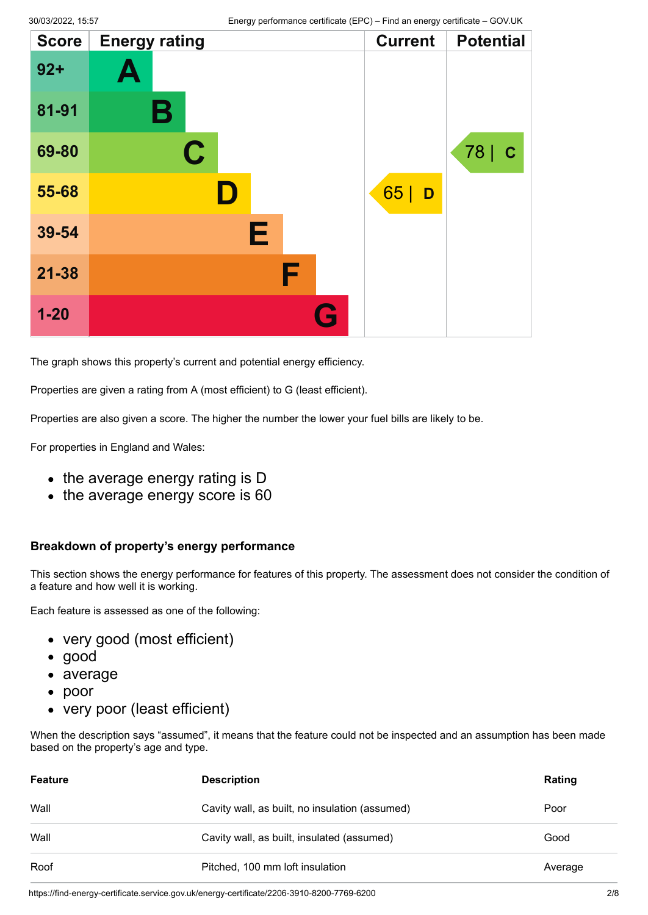| <b>Score</b> | <b>Energy rating</b> | <b>Current</b> | <b>Potential</b> |
|--------------|----------------------|----------------|------------------|
| $92 +$       | A                    |                |                  |
| 81-91        | В                    |                |                  |
| 69-80        | $\mathbf C$          |                | 78   C           |
| 55-68        | D                    | 65 <br>D       |                  |
| 39-54        | Е                    |                |                  |
| $21 - 38$    | F                    |                |                  |
| $1 - 20$     | G                    |                |                  |

The graph shows this property's current and potential energy efficiency.

Properties are given a rating from A (most efficient) to G (least efficient).

Properties are also given a score. The higher the number the lower your fuel bills are likely to be.

For properties in England and Wales:

- the average energy rating is D
- the average energy score is 60

#### **Breakdown of property's energy performance**

This section shows the energy performance for features of this property. The assessment does not consider the condition of a feature and how well it is working.

Each feature is assessed as one of the following:

- very good (most efficient)
- good
- average
- poor
- very poor (least efficient)

When the description says "assumed", it means that the feature could not be inspected and an assumption has been made based on the property's age and type.

| <b>Feature</b> | <b>Description</b>                             | Rating  |
|----------------|------------------------------------------------|---------|
| Wall           | Cavity wall, as built, no insulation (assumed) | Poor    |
| Wall           | Cavity wall, as built, insulated (assumed)     | Good    |
| Roof           | Pitched, 100 mm loft insulation                | Average |

https://find-energy-certificate.service.gov.uk/energy-certificate/2206-3910-8200-7769-6200 2/8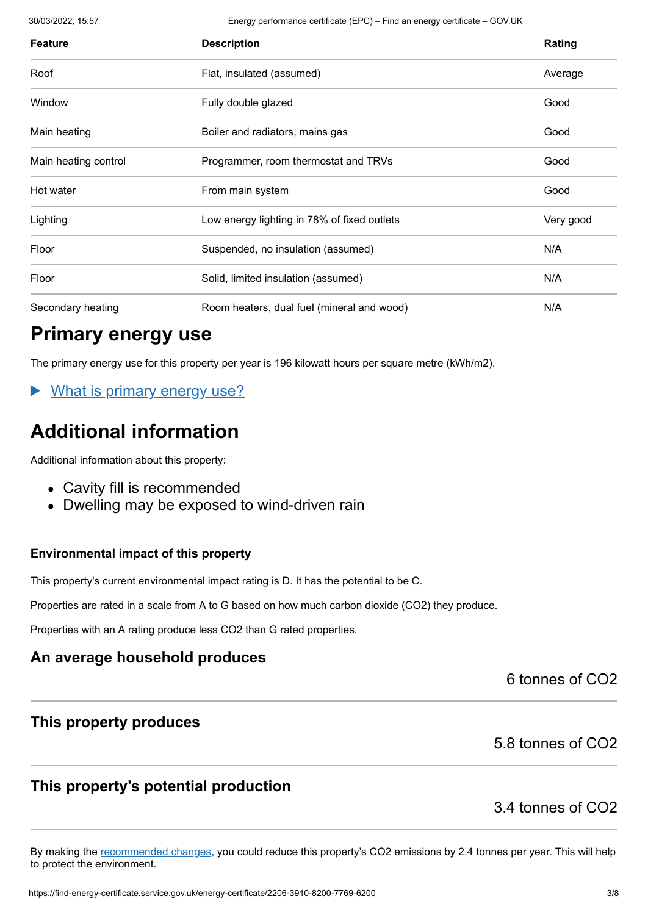30/03/2022, 15:57 Energy performance certificate (EPC) – Find an energy certificate – GOV.UK

| <b>Feature</b>       | <b>Description</b>                          | Rating    |
|----------------------|---------------------------------------------|-----------|
| Roof                 | Flat, insulated (assumed)                   | Average   |
| Window               | Fully double glazed                         | Good      |
| Main heating         | Boiler and radiators, mains gas             | Good      |
| Main heating control | Programmer, room thermostat and TRVs        | Good      |
| Hot water            | From main system                            | Good      |
| Lighting             | Low energy lighting in 78% of fixed outlets | Very good |
| Floor                | Suspended, no insulation (assumed)          | N/A       |
| Floor                | Solid, limited insulation (assumed)         | N/A       |
| Secondary heating    | Room heaters, dual fuel (mineral and wood)  | N/A       |

# **Primary energy use**

The primary energy use for this property per year is 196 kilowatt hours per square metre (kWh/m2).

What is primary energy use?

# **Additional information**

Additional information about this property:

- Cavity fill is recommended
- Dwelling may be exposed to wind-driven rain

#### **Environmental impact of this property**

This property's current environmental impact rating is D. It has the potential to be C.

Properties are rated in a scale from A to G based on how much carbon dioxide (CO2) they produce.

Properties with an A rating produce less CO2 than G rated properties.

## **An average household produces**

6 tonnes of CO2

## **This property produces**

#### 5.8 tonnes of CO2

# **This property's potential production**

#### 3.4 tonnes of CO2

By making the [recommended changes](#page-4-0), you could reduce this property's CO2 emissions by 2.4 tonnes per year. This will help to protect the environment.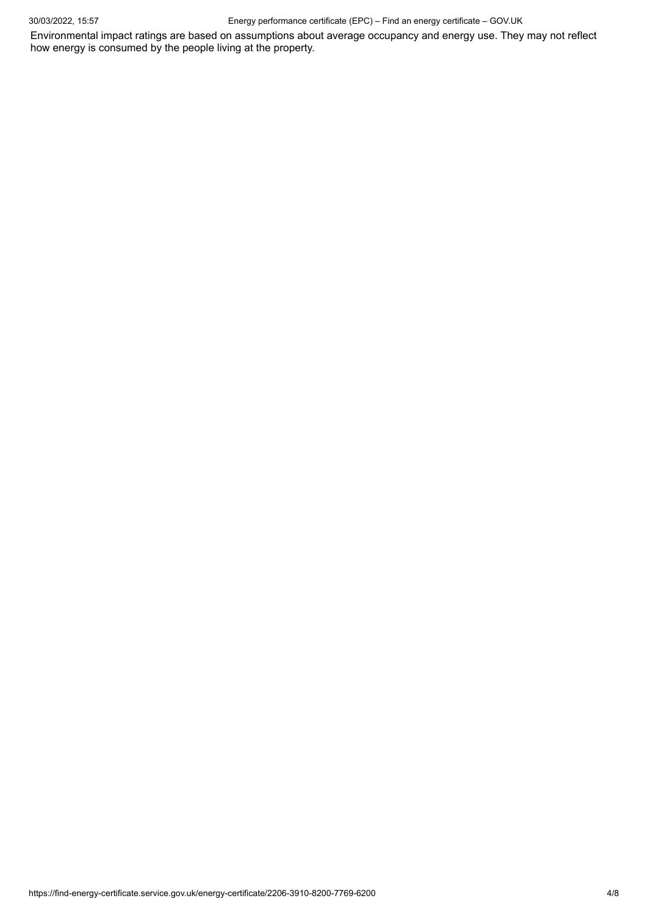30/03/2022, 15:57 Energy performance certificate (EPC) – Find an energy certificate – GOV.UK

Environmental impact ratings are based on assumptions about average occupancy and energy use. They may not reflect how energy is consumed by the people living at the property.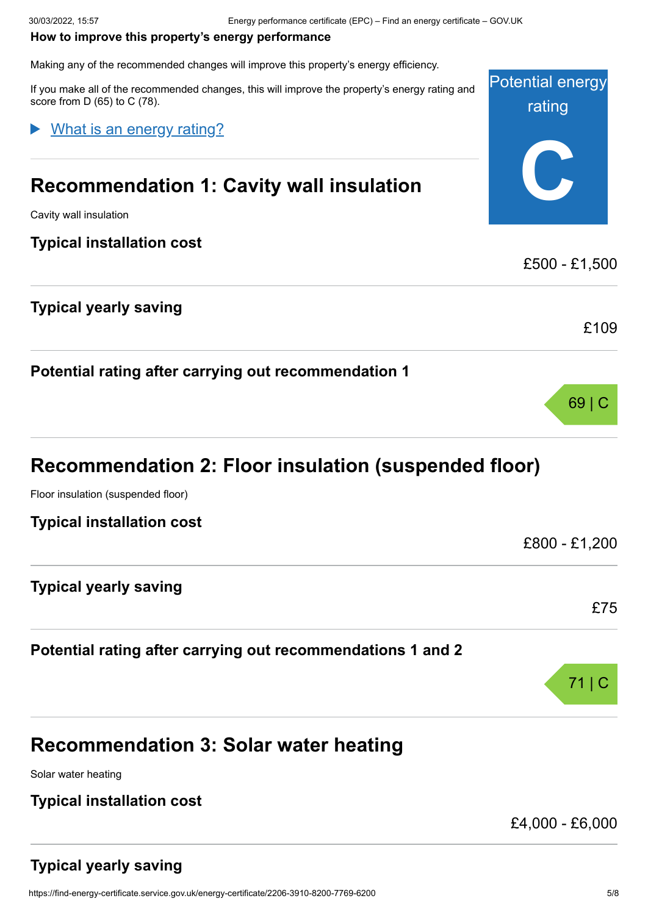#### <span id="page-4-0"></span>**How to improve this property's energy performance**

Making any of the recommended changes will improve this property's energy efficiency.

Potential energy rating **C** If you make all of the recommended changes, this will improve the property's energy rating and score from D (65) to C (78). **Recommendation 1: Cavity wall insulation** Cavity wall insulation **Typical installation cost** £500 - £1,500 **Typical yearly saving** £109 **Potential rating after carrying out recommendation 1** 69 | C **Recommendation 2: Floor insulation (suspended floor)** Floor insulation (suspended floor) **Typical installation cost** £800 - £1,200 What is an energy rating?

**Typical yearly saving**

#### **Potential rating after carrying out recommendations 1 and 2**

71 | C **Recommendation 3: Solar water heating**

Solar water heating

## **Typical installation cost**

£4,000 - £6,000

## **Typical yearly saving**

£75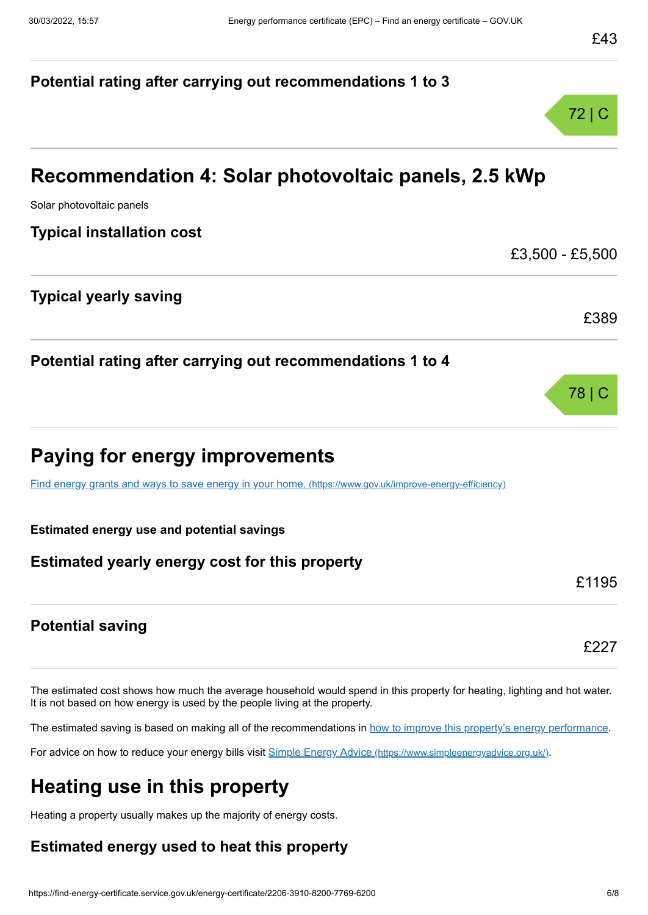# **Potential rating after carrying out recommendations 1 to 3** 72 | C **Recommendation 4: Solar photovoltaic panels, 2.5 kWp** Solar photovoltaic panels **Typical installation cost** £3,500 - £5,500 **Typical yearly saving** £389 **Potential rating after carrying out recommendations 1 to 4** 78 | C **Paying for energy improvements** [Find energy grants and ways to save energy in your home.](https://www.gov.uk/improve-energy-efficiency) (https://www.gov.uk/improve-energy-efficiency) **Estimated energy use and potential savings Estimated yearly energy cost for this property** £1195 **Potential saving** £227

The estimated cost shows how much the average household would spend in this property for heating, lighting and hot water. It is not based on how energy is used by the people living at the property.

The estimated saving is based on making all of the recommendations in [how to improve this property's energy performance.](#page-4-0)

For advice on how to reduce your energy bills visit Simple Energy Advice [\(https://www.simpleenergyadvice.org.uk/\)](https://www.simpleenergyadvice.org.uk/).

# **Heating use in this property**

Heating a property usually makes up the majority of energy costs.

## **Estimated energy used to heat this property**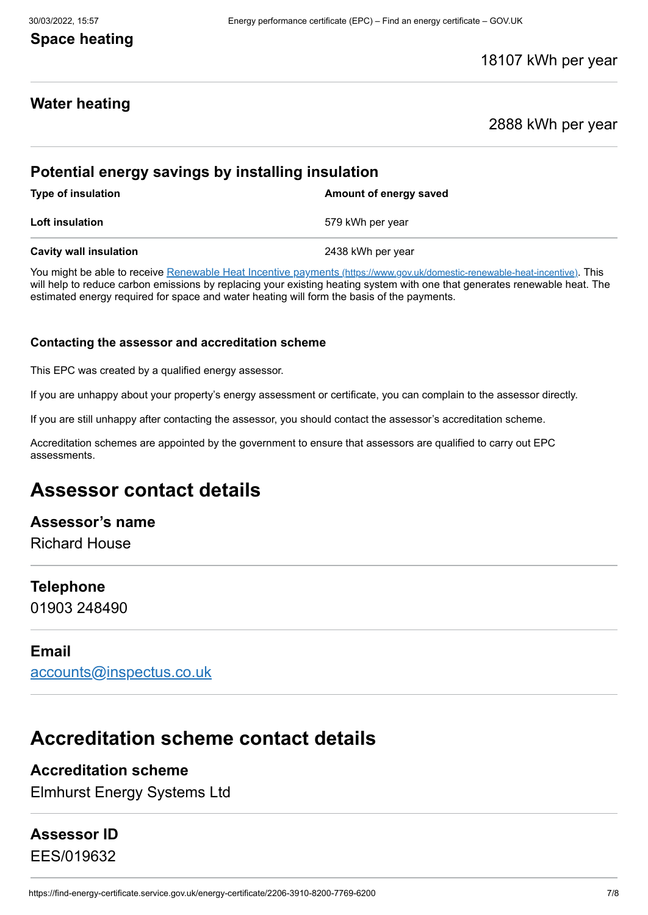#### 30/03/2022, 15:57 Energy performance certificate (EPC) – Find an energy certificate – GOV.UK

## **Space heating**

#### 18107 kWh per year

## **Water heating**

#### 2888 kWh per year

#### **Potential energy savings by installing insulation**

**Type of insulation Amount of energy saved Loft insulation** 6.1 **Communist Example 2.1 Communist Example 2.579 kWh per year Cavity wall insulation** 2438 kWh per year

You might be able to receive Renewable Heat Incentive payments [\(https://www.gov.uk/domestic-renewable-heat-incentive\)](https://www.gov.uk/domestic-renewable-heat-incentive). This will help to reduce carbon emissions by replacing your existing heating system with one that generates renewable heat. The estimated energy required for space and water heating will form the basis of the payments.

#### **Contacting the assessor and accreditation scheme**

This EPC was created by a qualified energy assessor.

If you are unhappy about your property's energy assessment or certificate, you can complain to the assessor directly.

If you are still unhappy after contacting the assessor, you should contact the assessor's accreditation scheme.

Accreditation schemes are appointed by the government to ensure that assessors are qualified to carry out EPC assessments.

# **Assessor contact details**

#### **Assessor's name**

Richard House

#### **Telephone**

01903 248490

#### **Email**

[accounts@inspectus.co.uk](mailto:accounts@inspectus.co.uk)

# **Accreditation scheme contact details**

#### **Accreditation scheme**

Elmhurst Energy Systems Ltd

#### **Assessor ID**

EES/019632